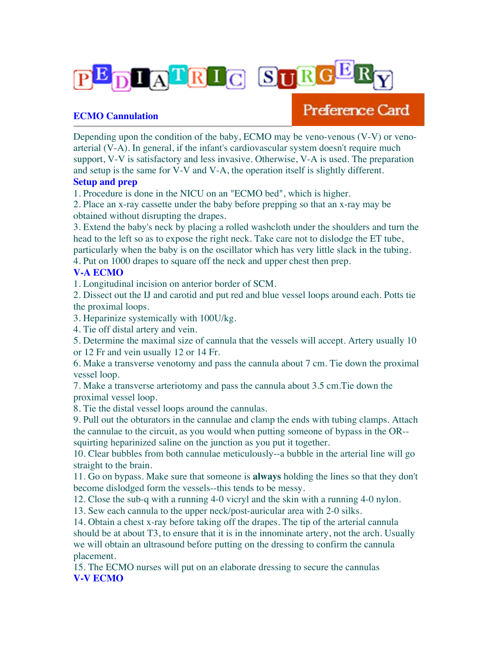

## **ECMO Cannulation**

## Preference Card

Depending upon the condition of the baby, ECMO may be veno-venous (V-V) or venoarterial (V-A). In general, if the infant's cardiovascular system doesn't require much support, V-V is satisfactory and less invasive. Otherwise, V-A is used. The preparation and setup is the same for V-V and V-A, the operation itself is slightly different.

## **Setup and prep**

1. Procedure is done in the NICU on an "ECMO bed", which is higher.

2. Place an x-ray cassette under the baby before prepping so that an x-ray may be obtained without disrupting the drapes.

3. Extend the baby's neck by placing a rolled washcloth under the shoulders and turn the head to the left so as to expose the right neck. Take care not to dislodge the ET tube, particularly when the baby is on the oscillator which has very little slack in the tubing.

4. Put on 1000 drapes to square off the neck and upper chest then prep.

## **V-A ECMO**

1. Longitudinal incision on anterior border of SCM.

2. Dissect out the IJ and carotid and put red and blue vessel loops around each. Potts tie the proximal loops.

3. Heparinize systemically with 100U/kg.

4. Tie off distal artery and vein.

5. Determine the maximal size of cannula that the vessels will accept. Artery usually 10 or 12 Fr and vein usually 12 or 14 Fr.

6. Make a transverse venotomy and pass the cannula about 7 cm. Tie down the proximal vessel loop.

7. Make a transverse arteriotomy and pass the cannula about 3.5 cm.Tie down the proximal vessel loop.

8. Tie the distal vessel loops around the cannulas.

9. Pull out the obturators in the cannulae and clamp the ends with tubing clamps. Attach the cannulae to the circuit, as you would when putting someone of bypass in the OR- squirting heparinized saline on the junction as you put it together.

10. Clear bubbles from both cannulae meticulously--a bubble in the arterial line will go straight to the brain.

11. Go on bypass. Make sure that someone is **always** holding the lines so that they don't become dislodged form the vessels--this tends to be messy.

12. Close the sub-q with a running 4-0 vicryl and the skin with a running 4-0 nylon.

13. Sew each cannula to the upper neck/post-auricular area with 2-0 silks.

14. Obtain a chest x-ray before taking off the drapes. The tip of the arterial cannula should be at about T3, to ensure that it is in the innominate artery, not the arch. Usually we will obtain an ultrasound before putting on the dressing to confirm the cannula placement.

15. The ECMO nurses will put on an elaborate dressing to secure the cannulas **V-V ECMO**